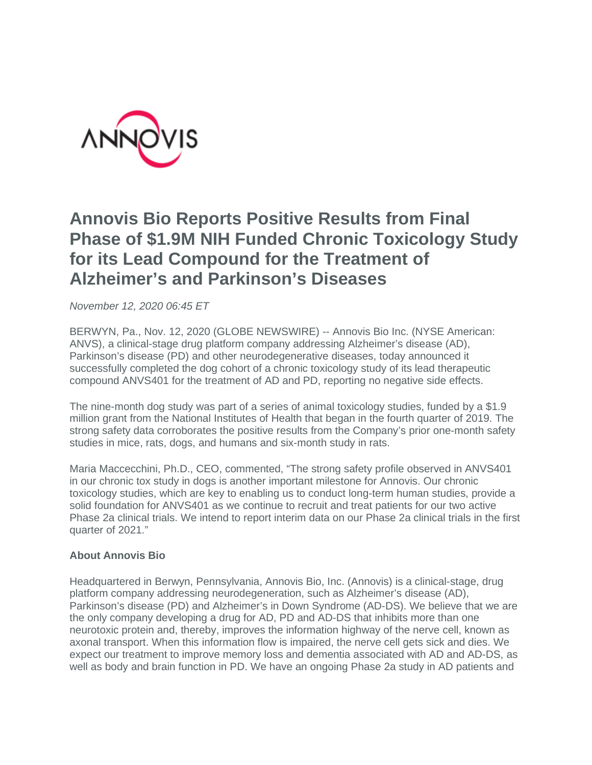

## **Annovis Bio Reports Positive Results from Final Phase of \$1.9M NIH Funded Chronic Toxicology Study for its Lead Compound for the Treatment of Alzheimer's and Parkinson's Diseases**

*November 12, 2020 06:45 ET*

BERWYN, Pa., Nov. 12, 2020 (GLOBE NEWSWIRE) -- Annovis Bio Inc. (NYSE American: ANVS), a clinical-stage drug platform company addressing Alzheimer's disease (AD), Parkinson's disease (PD) and other neurodegenerative diseases, today announced it successfully completed the dog cohort of a chronic toxicology study of its lead therapeutic compound ANVS401 for the treatment of AD and PD, reporting no negative side effects.

The nine-month dog study was part of a series of animal toxicology studies, funded by a \$1.9 million grant from the National Institutes of Health that began in the fourth quarter of 2019. The strong safety data corroborates the positive results from the Company's prior one-month safety studies in mice, rats, dogs, and humans and six-month study in rats.

Maria Maccecchini, Ph.D., CEO, commented, "The strong safety profile observed in ANVS401 in our chronic tox study in dogs is another important milestone for Annovis. Our chronic toxicology studies, which are key to enabling us to conduct long-term human studies, provide a solid foundation for ANVS401 as we continue to recruit and treat patients for our two active Phase 2a clinical trials. We intend to report interim data on our Phase 2a clinical trials in the first quarter of 2021."

## **About Annovis Bio**

Headquartered in Berwyn, Pennsylvania, Annovis Bio, Inc. (Annovis) is a clinical-stage, drug platform company addressing neurodegeneration, such as Alzheimer's disease (AD), Parkinson's disease (PD) and Alzheimer's in Down Syndrome (AD-DS). We believe that we are the only company developing a drug for AD, PD and AD-DS that inhibits more than one neurotoxic protein and, thereby, improves the information highway of the nerve cell, known as axonal transport. When this information flow is impaired, the nerve cell gets sick and dies. We expect our treatment to improve memory loss and dementia associated with AD and AD-DS, as well as body and brain function in PD. We have an ongoing Phase 2a study in AD patients and